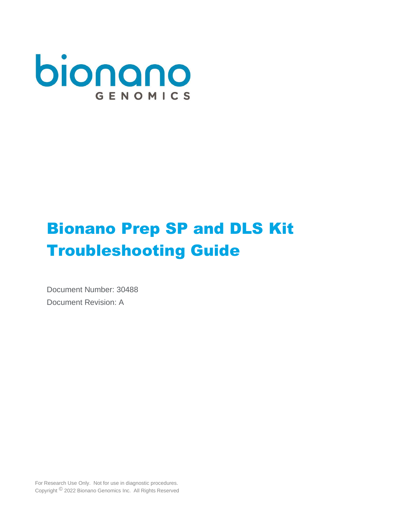

# Bionano Prep SP and DLS Kit Troubleshooting Guide

Document Number: 30488 Document Revision: A

For Research Use Only. Not for use in diagnostic procedures. Copyright © 2022 Bionano Genomics Inc. All Rights Reserved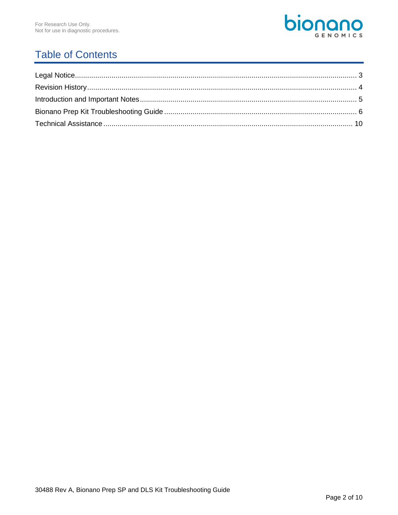

## **Table of Contents**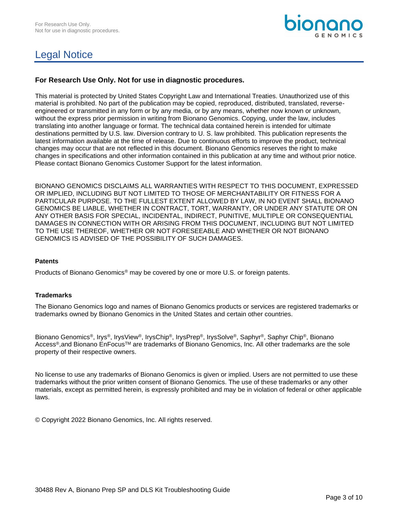

## Legal Notice

#### **For Research Use Only. Not for use in diagnostic procedures.**

This material is protected by United States Copyright Law and International Treaties. Unauthorized use of this material is prohibited. No part of the publication may be copied, reproduced, distributed, translated, reverseengineered or transmitted in any form or by any media, or by any means, whether now known or unknown, without the express prior permission in writing from Bionano Genomics. Copying, under the law, includes translating into another language or format. The technical data contained herein is intended for ultimate destinations permitted by U.S. law. Diversion contrary to U. S. law prohibited. This publication represents the latest information available at the time of release. Due to continuous efforts to improve the product, technical changes may occur that are not reflected in this document. Bionano Genomics reserves the right to make changes in specifications and other information contained in this publication at any time and without prior notice. Please contact Bionano Genomics Customer Support for the latest information.

BIONANO GENOMICS DISCLAIMS ALL WARRANTIES WITH RESPECT TO THIS DOCUMENT, EXPRESSED OR IMPLIED, INCLUDING BUT NOT LIMITED TO THOSE OF MERCHANTABILITY OR FITNESS FOR A PARTICULAR PURPOSE. TO THE FULLEST EXTENT ALLOWED BY LAW, IN NO EVENT SHALL BIONANO GENOMICS BE LIABLE, WHETHER IN CONTRACT, TORT, WARRANTY, OR UNDER ANY STATUTE OR ON ANY OTHER BASIS FOR SPECIAL, INCIDENTAL, INDIRECT, PUNITIVE, MULTIPLE OR CONSEQUENTIAL DAMAGES IN CONNECTION WITH OR ARISING FROM THIS DOCUMENT, INCLUDING BUT NOT LIMITED TO THE USE THEREOF, WHETHER OR NOT FORESEEABLE AND WHETHER OR NOT BIONANO GENOMICS IS ADVISED OF THE POSSIBILITY OF SUCH DAMAGES.

#### **Patents**

Products of Bionano Genomics® may be covered by one or more U.S. or foreign patents.

#### **Trademarks**

The Bionano Genomics logo and names of Bionano Genomics products or services are registered trademarks or trademarks owned by Bionano Genomics in the United States and certain other countries.

Bionano Genomics®, Irys®, IrysView®, IrysChip®, IrysPrep®, IrysSolve®, Saphyr®, Saphyr Chip®, Bionano Access®, and Bionano EnFocus™ are trademarks of Bionano Genomics, Inc. All other trademarks are the sole property of their respective owners.

No license to use any trademarks of Bionano Genomics is given or implied. Users are not permitted to use these trademarks without the prior written consent of Bionano Genomics. The use of these trademarks or any other materials, except as permitted herein, is expressly prohibited and may be in violation of federal or other applicable laws.

© Copyright 2022 Bionano Genomics, Inc. All rights reserved.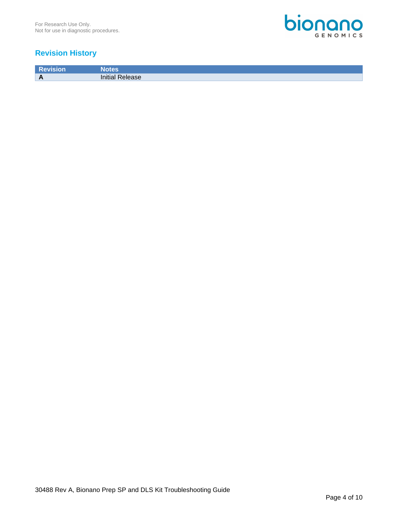

### **Revision History**

**Revision Notes A Initial Release**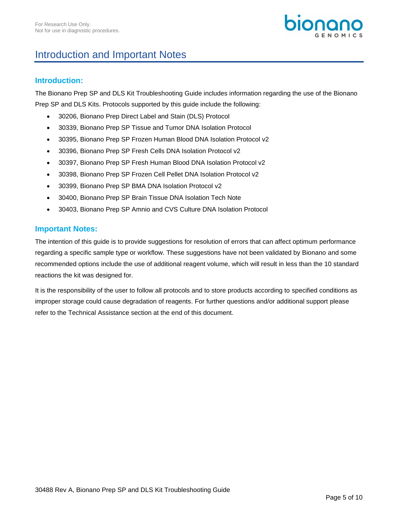## Introduction and Important Notes

### **Introduction:**

The Bionano Prep SP and DLS Kit Troubleshooting Guide includes information regarding the use of the Bionano Prep SP and DLS Kits. Protocols supported by this guide include the following:

- 30206, Bionano Prep Direct Label and Stain (DLS) Protocol
- 30339, Bionano Prep SP Tissue and Tumor DNA Isolation Protocol
- 30395, Bionano Prep SP Frozen Human Blood DNA Isolation Protocol v2
- 30396, Bionano Prep SP Fresh Cells DNA Isolation Protocol v2
- 30397, Bionano Prep SP Fresh Human Blood DNA Isolation Protocol v2
- 30398, Bionano Prep SP Frozen Cell Pellet DNA Isolation Protocol v2
- 30399, Bionano Prep SP BMA DNA Isolation Protocol v2
- 30400, Bionano Prep SP Brain Tissue DNA Isolation Tech Note
- 30403, Bionano Prep SP Amnio and CVS Culture DNA Isolation Protocol

#### **Important Notes:**

The intention of this guide is to provide suggestions for resolution of errors that can affect optimum performance regarding a specific sample type or workflow. These suggestions have not been validated by Bionano and some recommended options include the use of additional reagent volume, which will result in less than the 10 standard reactions the kit was designed for.

It is the responsibility of the user to follow all protocols and to store products according to specified conditions as improper storage could cause degradation of reagents. For further questions and/or additional support please refer to the Technical Assistance section at the end of this document.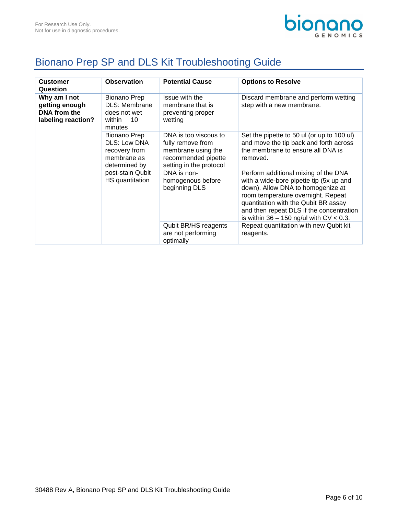

## Bionano Prep SP and DLS Kit Troubleshooting Guide

| <b>Customer</b><br>Question                                          | <b>Observation</b>                                                                                                          | <b>Potential Cause</b>                                                                                             | <b>Options to Resolve</b>                                                                                                                                                                                                                                                                      |
|----------------------------------------------------------------------|-----------------------------------------------------------------------------------------------------------------------------|--------------------------------------------------------------------------------------------------------------------|------------------------------------------------------------------------------------------------------------------------------------------------------------------------------------------------------------------------------------------------------------------------------------------------|
| Why am I not<br>getting enough<br>DNA from the<br>labeling reaction? | <b>Bionano Prep</b><br><b>DLS: Membrane</b><br>does not wet<br>10<br>within<br>minutes                                      | Issue with the<br>membrane that is<br>preventing proper<br>wetting                                                 | Discard membrane and perform wetting<br>step with a new membrane.                                                                                                                                                                                                                              |
|                                                                      | <b>Bionano Prep</b><br>DLS: Low DNA<br>recovery from<br>membrane as<br>determined by<br>post-stain Qubit<br>HS quantitation | DNA is too viscous to<br>fully remove from<br>membrane using the<br>recommended pipette<br>setting in the protocol | Set the pipette to 50 ul (or up to 100 ul)<br>and move the tip back and forth across<br>the membrane to ensure all DNA is<br>removed.                                                                                                                                                          |
|                                                                      |                                                                                                                             | DNA is non-<br>homogenous before<br>beginning DLS                                                                  | Perform additional mixing of the DNA<br>with a wide-bore pipette tip (5x up and<br>down). Allow DNA to homogenize at<br>room temperature overnight. Repeat<br>quantitation with the Qubit BR assay<br>and then repeat DLS if the concentration<br>is within $36 - 150$ ng/ul with $CV < 0.3$ . |
|                                                                      |                                                                                                                             | Qubit BR/HS reagents<br>are not performing<br>optimally                                                            | Repeat quantitation with new Qubit kit<br>reagents.                                                                                                                                                                                                                                            |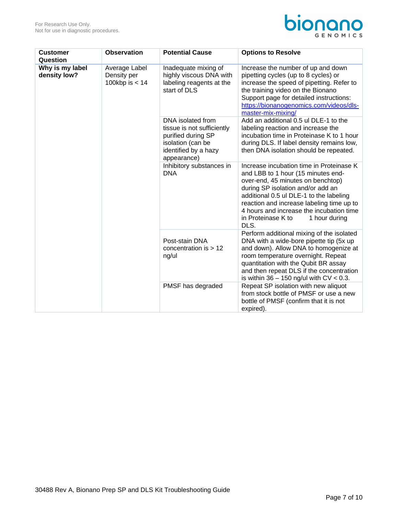

| <b>Customer</b><br>Question     | <b>Observation</b>                               | <b>Potential Cause</b>                                                                                                            | <b>Options to Resolve</b>                                                                                                                                                                                                                                                                                                                   |
|---------------------------------|--------------------------------------------------|-----------------------------------------------------------------------------------------------------------------------------------|---------------------------------------------------------------------------------------------------------------------------------------------------------------------------------------------------------------------------------------------------------------------------------------------------------------------------------------------|
| Why is my label<br>density low? | Average Label<br>Density per<br>100kbp is $< 14$ | Inadequate mixing of<br>highly viscous DNA with<br>labeling reagents at the<br>start of DLS                                       | Increase the number of up and down<br>pipetting cycles (up to 8 cycles) or<br>increase the speed of pipetting. Refer to<br>the training video on the Bionano<br>Support page for detailed instructions:<br>https://bionanogenomics.com/videos/dls-<br>master-mix-mixing/                                                                    |
|                                 |                                                  | DNA isolated from<br>tissue is not sufficiently<br>purified during SP<br>isolation (can be<br>identified by a hazy<br>appearance) | Add an additional 0.5 ul DLE-1 to the<br>labeling reaction and increase the<br>incubation time in Proteinase K to 1 hour<br>during DLS. If label density remains low,<br>then DNA isolation should be repeated.                                                                                                                             |
|                                 |                                                  | Inhibitory substances in<br><b>DNA</b>                                                                                            | Increase incubation time in Proteinase K<br>and LBB to 1 hour (15 minutes end-<br>over-end, 45 minutes on benchtop)<br>during SP isolation and/or add an<br>additional 0.5 ul DLE-1 to the labeling<br>reaction and increase labeling time up to<br>4 hours and increase the incubation time<br>in Proteinase K to<br>1 hour during<br>DLS. |
|                                 |                                                  | Post-stain DNA<br>concentration is $> 12$<br>ng/ul                                                                                | Perform additional mixing of the isolated<br>DNA with a wide-bore pipette tip (5x up<br>and down). Allow DNA to homogenize at<br>room temperature overnight. Repeat<br>quantitation with the Qubit BR assay<br>and then repeat DLS if the concentration<br>is within $36 - 150$ ng/ul with $CV < 0.3$ .                                     |
|                                 |                                                  | PMSF has degraded                                                                                                                 | Repeat SP isolation with new aliquot<br>from stock bottle of PMSF or use a new<br>bottle of PMSF (confirm that it is not<br>expired).                                                                                                                                                                                                       |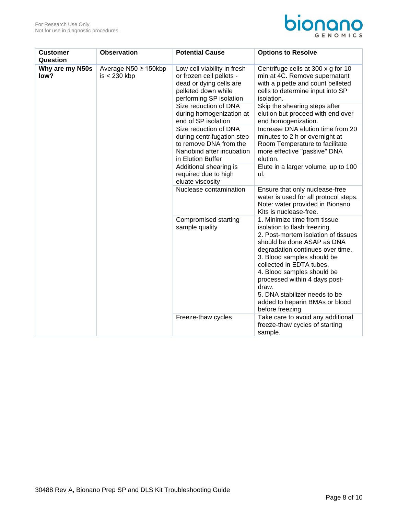

| <b>Customer</b><br>Question | <b>Observation</b>                     | <b>Potential Cause</b>                                                                                                               | <b>Options to Resolve</b>                                                                                                                                                                                                                                                                                                                                                                     |
|-----------------------------|----------------------------------------|--------------------------------------------------------------------------------------------------------------------------------------|-----------------------------------------------------------------------------------------------------------------------------------------------------------------------------------------------------------------------------------------------------------------------------------------------------------------------------------------------------------------------------------------------|
| Why are my N50s<br>low?     | Average N50 ≥ 150kbp<br>$is < 230$ kbp | Low cell viability in fresh<br>or frozen cell pellets -<br>dead or dying cells are<br>pelleted down while<br>performing SP isolation | Centrifuge cells at 300 x g for 10<br>min at 4C. Remove supernatant<br>with a pipette and count pelleted<br>cells to determine input into SP<br>isolation.                                                                                                                                                                                                                                    |
|                             |                                        | Size reduction of DNA<br>during homogenization at<br>end of SP isolation                                                             | Skip the shearing steps after<br>elution but proceed with end over<br>end homogenization.                                                                                                                                                                                                                                                                                                     |
|                             |                                        | Size reduction of DNA<br>during centrifugation step<br>to remove DNA from the<br>Nanobind after incubation<br>in Elution Buffer      | Increase DNA elution time from 20<br>minutes to 2 h or overnight at<br>Room Temperature to facilitate<br>more effective "passive" DNA<br>elution.                                                                                                                                                                                                                                             |
|                             |                                        | Additional shearing is<br>required due to high<br>eluate viscosity                                                                   | Elute in a larger volume, up to 100<br>ul.                                                                                                                                                                                                                                                                                                                                                    |
|                             |                                        | Nuclease contamination                                                                                                               | Ensure that only nuclease-free<br>water is used for all protocol steps.<br>Note: water provided in Bionano<br>Kits is nuclease-free.                                                                                                                                                                                                                                                          |
|                             |                                        | Compromised starting<br>sample quality                                                                                               | 1. Minimize time from tissue<br>isolation to flash freezing.<br>2. Post-mortem isolation of tissues<br>should be done ASAP as DNA<br>degradation continues over time.<br>3. Blood samples should be<br>collected in EDTA tubes.<br>4. Blood samples should be<br>processed within 4 days post-<br>draw.<br>5. DNA stabilizer needs to be<br>added to heparin BMAs or blood<br>before freezing |
|                             |                                        | Freeze-thaw cycles                                                                                                                   | Take care to avoid any additional<br>freeze-thaw cycles of starting<br>sample.                                                                                                                                                                                                                                                                                                                |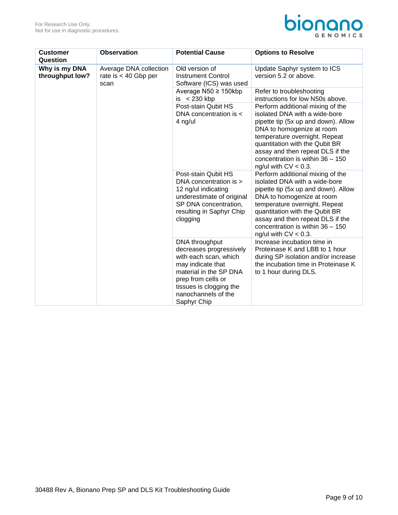

| <b>Customer</b><br>Question      | <b>Observation</b>                                       | <b>Potential Cause</b>                                                                                                                                                                                   | <b>Options to Resolve</b>                                                                                                                                                                                                                                                                                     |
|----------------------------------|----------------------------------------------------------|----------------------------------------------------------------------------------------------------------------------------------------------------------------------------------------------------------|---------------------------------------------------------------------------------------------------------------------------------------------------------------------------------------------------------------------------------------------------------------------------------------------------------------|
| Why is my DNA<br>throughput low? | Average DNA collection<br>rate is $< 40$ Gbp per<br>scan | Old version of<br><b>Instrument Control</b><br>Software (ICS) was used                                                                                                                                   | Update Saphyr system to ICS<br>version 5.2 or above.                                                                                                                                                                                                                                                          |
|                                  |                                                          | Average $N50 \geq 150$ kbp<br>is $< 230$ kbp                                                                                                                                                             | Refer to troubleshooting<br>instructions for low N50s above.                                                                                                                                                                                                                                                  |
|                                  |                                                          | Post-stain Qubit HS<br>DNA concentration is <<br>4 ng/ul                                                                                                                                                 | Perform additional mixing of the<br>isolated DNA with a wide-bore<br>pipette tip (5x up and down). Allow<br>DNA to homogenize at room<br>temperature overnight. Repeat<br>quantitation with the Qubit BR<br>assay and then repeat DLS if the<br>concentration is within $36 - 150$<br>ng/ul with $CV < 0.3$ . |
|                                  |                                                          | Post-stain Qubit HS<br>DNA concentration is ><br>12 ng/ul indicating<br>underestimate of original<br>SP DNA concentration,<br>resulting in Saphyr Chip<br>clogging                                       | Perform additional mixing of the<br>isolated DNA with a wide-bore<br>pipette tip (5x up and down). Allow<br>DNA to homogenize at room<br>temperature overnight. Repeat<br>quantitation with the Qubit BR<br>assay and then repeat DLS if the<br>concentration is within $36 - 150$<br>ng/ul with $CV < 0.3$ . |
|                                  |                                                          | DNA throughput<br>decreases progressively<br>with each scan, which<br>may indicate that<br>material in the SP DNA<br>prep from cells or<br>tissues is clogging the<br>nanochannels of the<br>Saphyr Chip | Increase incubation time in<br>Proteinase K and LBB to 1 hour<br>during SP isolation and/or increase<br>the incubation time in Proteinase K<br>to 1 hour during DLS.                                                                                                                                          |